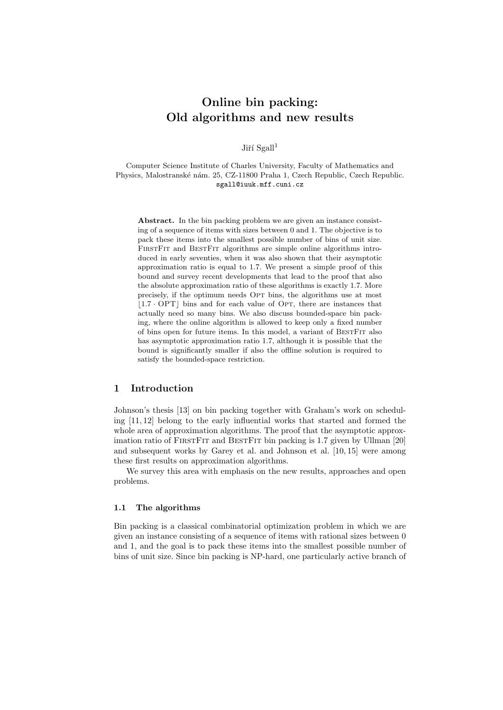# Online bin packing: Old algorithms and new results

Jiří  $Sgall<sup>1</sup>$ 

Computer Science Institute of Charles University, Faculty of Mathematics and Physics, Malostranské nám. 25, CZ-11800 Praha 1, Czech Republic, Czech Republic. sgall@iuuk.mff.cuni.cz

Abstract. In the bin packing problem we are given an instance consisting of a sequence of items with sizes between 0 and 1. The objective is to pack these items into the smallest possible number of bins of unit size. FIRSTFIT and BESTFIT algorithms are simple online algorithms introduced in early seventies, when it was also shown that their asymptotic approximation ratio is equal to 1.7. We present a simple proof of this bound and survey recent developments that lead to the proof that also the absolute approximation ratio of these algorithms is exactly 1.7. More precisely, if the optimum needs Opt bins, the algorithms use at most  $|1.7 \cdot \text{OPT}|$  bins and for each value of Opt, there are instances that actually need so many bins. We also discuss bounded-space bin packing, where the online algorithm is allowed to keep only a fixed number of bins open for future items. In this model, a variant of BestFit also has asymptotic approximation ratio 1.7, although it is possible that the bound is significantly smaller if also the offline solution is required to satisfy the bounded-space restriction.

# 1 Introduction

Johnson's thesis [13] on bin packing together with Graham's work on scheduling [11, 12] belong to the early influential works that started and formed the whole area of approximation algorithms. The proof that the asymptotic approximation ratio of FirstFit and BestFit bin packing is 1.7 given by Ullman [20] and subsequent works by Garey et al. and Johnson et al. [10, 15] were among these first results on approximation algorithms.

We survey this area with emphasis on the new results, approaches and open problems.

#### 1.1 The algorithms

Bin packing is a classical combinatorial optimization problem in which we are given an instance consisting of a sequence of items with rational sizes between 0 and 1, and the goal is to pack these items into the smallest possible number of bins of unit size. Since bin packing is NP-hard, one particularly active branch of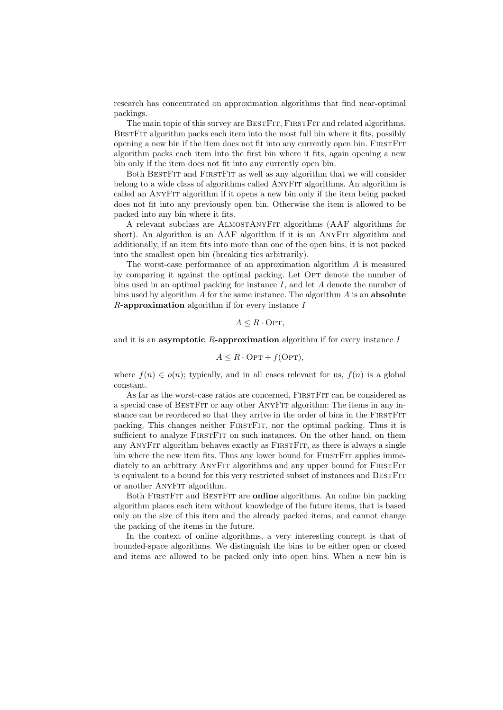research has concentrated on approximation algorithms that find near-optimal packings.

The main topic of this survey are BESTFIT, FIRSTFIT and related algorithms. BestFit algorithm packs each item into the most full bin where it fits, possibly opening a new bin if the item does not fit into any currently open bin. FIRST FIT algorithm packs each item into the first bin where it fits, again opening a new bin only if the item does not fit into any currently open bin.

Both BESTFIT and FIRSTFIT as well as any algorithm that we will consider belong to a wide class of algorithms called AnyFit algorithms. An algorithm is called an AnyFit algorithm if it opens a new bin only if the item being packed does not fit into any previously open bin. Otherwise the item is allowed to be packed into any bin where it fits.

A relevant subclass are AlmostAnyFit algorithms (AAF algorithms for short). An algorithm is an AAF algorithm if it is an AnyFit algorithm and additionally, if an item fits into more than one of the open bins, it is not packed into the smallest open bin (breaking ties arbitrarily).

The worst-case performance of an approximation algorithm  $A$  is measured by comparing it against the optimal packing. Let OPT denote the number of bins used in an optimal packing for instance  $I$ , and let  $A$  denote the number of bins used by algorithm  $\tilde{A}$  for the same instance. The algorithm  $\tilde{A}$  is an **absolute**  $R$ -approximation algorithm if for every instance  $I$ 

$$
A \leq R \cdot \text{OPT},
$$

and it is an **asymptotic R-approximation** algorithm if for every instance  $I$ 

$$
A \le R \cdot \text{OPT} + f(\text{OPT}),
$$

where  $f(n) \in o(n)$ ; typically, and in all cases relevant for us,  $f(n)$  is a global constant.

As far as the worst-case ratios are concerned, FIRSTFIT can be considered as a special case of BestFit or any other AnyFit algorithm: The items in any instance can be reordered so that they arrive in the order of bins in the FIRST FIT packing. This changes neither FirstFit, nor the optimal packing. Thus it is sufficient to analyze FIRSTFIT on such instances. On the other hand, on them any ANYFIT algorithm behaves exactly as FIRSTFIT, as there is always a single bin where the new item fits. Thus any lower bound for FIRSTFIT applies immediately to an arbitrary ANYFIT algorithms and any upper bound for FIRSTFIT is equivalent to a bound for this very restricted subset of instances and BESTFIT or another AnyFit algorithm.

Both FirstFit and BestFit are online algorithms. An online bin packing algorithm places each item without knowledge of the future items, that is based only on the size of this item and the already packed items, and cannot change the packing of the items in the future.

In the context of online algorithms, a very interesting concept is that of bounded-space algorithms. We distinguish the bins to be either open or closed and items are allowed to be packed only into open bins. When a new bin is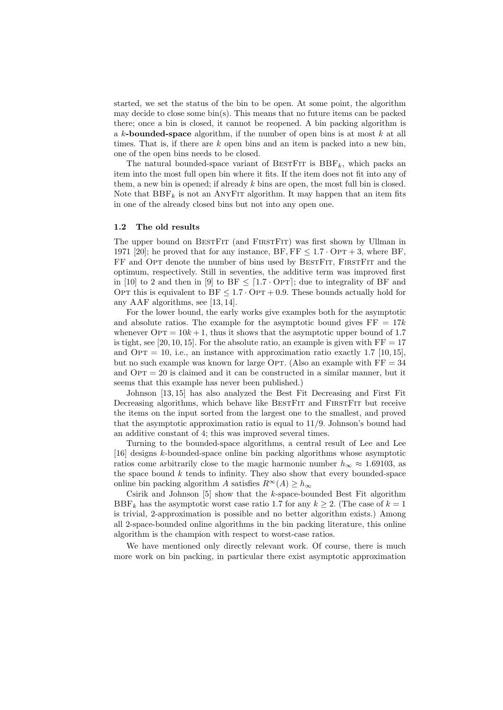started, we set the status of the bin to be open. At some point, the algorithm may decide to close some  $\text{bin}(s)$ . This means that no future items can be packed there; once a bin is closed, it cannot be reopened. A bin packing algorithm is a  $k$ -bounded-space algorithm, if the number of open bins is at most  $k$  at all times. That is, if there are  $k$  open bins and an item is packed into a new bin, one of the open bins needs to be closed.

The natural bounded-space variant of BESTFIT is  $BBF_k$ , which packs an item into the most full open bin where it fits. If the item does not fit into any of them, a new bin is opened; if already k bins are open, the most full bin is closed. Note that  $BBF_k$  is not an ANYFIT algorithm. It may happen that an item fits in one of the already closed bins but not into any open one.

### 1.2 The old results

The upper bound on BESTFIT (and FIRSTFIT) was first shown by Ullman in 1971 [20]; he proved that for any instance,  $BF, FF \leq 1.7 \cdot OPT + 3$ , where BF, FF and OPT denote the number of bins used by BESTFIT, FIRSTFIT and the optimum, respectively. Still in seventies, the additive term was improved first in [10] to 2 and then in [9] to BF  $\leq$  [1.7 · OPT]; due to integrality of BF and OPT this is equivalent to  $BF \leq 1.7 \cdot OPT + 0.9$ . These bounds actually hold for any AAF algorithms, see [13, 14].

For the lower bound, the early works give examples both for the asymptotic and absolute ratios. The example for the asymptotic bound gives  $FF = 17k$ whenever  $\text{OPT} = 10k + 1$ , thus it shows that the asymptotic upper bound of 1.7 is tight, see [20, 10, 15]. For the absolute ratio, an example is given with  $FF = 17$ and OPT = 10, i.e., an instance with approximation ratio exactly 1.7 [10, 15]. but no such example was known for large Opt. (Also an example with  $FF = 34$ and  $\text{OPT} = 20$  is claimed and it can be constructed in a similar manner, but it seems that this example has never been published.)

Johnson [13, 15] has also analyzed the Best Fit Decreasing and First Fit Decreasing algorithms, which behave like BESTFIT and FIRSTFIT but receive the items on the input sorted from the largest one to the smallest, and proved that the asymptotic approximation ratio is equal to 11/9. Johnson's bound had an additive constant of 4; this was improved several times.

Turning to the bounded-space algorithms, a central result of Lee and Lee [16] designs k-bounded-space online bin packing algorithms whose asymptotic ratios come arbitrarily close to the magic harmonic number  $h_{\infty} \approx 1.69103$ , as the space bound  $k$  tends to infinity. They also show that every bounded-space online bin packing algorithm A satisfies  $R^{\infty}(A) \geq h_{\infty}$ 

Csirik and Johnson  $[5]$  show that the k-space-bounded Best Fit algorithm BBF<sub>k</sub> has the asymptotic worst case ratio 1.7 for any  $k \geq 2$ . (The case of  $k = 1$ ) is trivial, 2-approximation is possible and no better algorithm exists.) Among all 2-space-bounded online algorithms in the bin packing literature, this online algorithm is the champion with respect to worst-case ratios.

We have mentioned only directly relevant work. Of course, there is much more work on bin packing, in particular there exist asymptotic approximation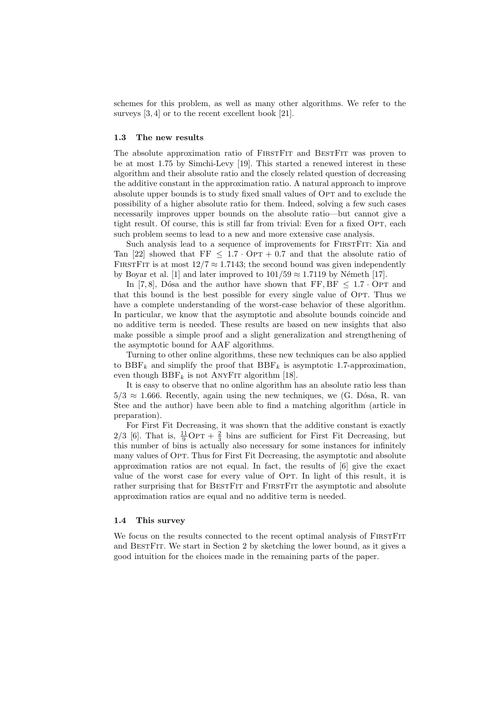schemes for this problem, as well as many other algorithms. We refer to the surveys [3, 4] or to the recent excellent book [21].

### 1.3 The new results

The absolute approximation ratio of FIRSTFIT and BESTFIT was proven to be at most 1.75 by Simchi-Levy [19]. This started a renewed interest in these algorithm and their absolute ratio and the closely related question of decreasing the additive constant in the approximation ratio. A natural approach to improve absolute upper bounds is to study fixed small values of Opt and to exclude the possibility of a higher absolute ratio for them. Indeed, solving a few such cases necessarily improves upper bounds on the absolute ratio—but cannot give a tight result. Of course, this is still far from trivial: Even for a fixed OPT, each such problem seems to lead to a new and more extensive case analysis.

Such analysis lead to a sequence of improvements for FIRSTFIT: Xia and Tan [22] showed that  $FF < 1.7 \cdot OPT + 0.7$  and that the absolute ratio of FIRSTFIT is at most  $12/7 \approx 1.7143$ ; the second bound was given independently by Boyar et al. [1] and later improved to  $101/59 \approx 1.7119$  by Németh [17].

In [7,8], Dósa and the author have shown that  $FF, BF \leq 1.7 \cdot OPT$  and that this bound is the best possible for every single value of OPT. Thus we have a complete understanding of the worst-case behavior of these algorithm. In particular, we know that the asymptotic and absolute bounds coincide and no additive term is needed. These results are based on new insights that also make possible a simple proof and a slight generalization and strengthening of the asymptotic bound for AAF algorithms.

Turning to other online algorithms, these new techniques can be also applied to  $BBF_k$  and simplify the proof that  $BBF_k$  is asymptotic 1.7-approximation, even though  $BBF_k$  is not ANYFIT algorithm [18].

It is easy to observe that no online algorithm has an absolute ratio less than  $5/3 \approx 1.666$ . Recently, again using the new techniques, we (G. Dósa, R. van Stee and the author) have been able to find a matching algorithm (article in preparation).

For First Fit Decreasing, it was shown that the additive constant is exactly 2/3 [6]. That is,  $\frac{11}{9}$ OPT +  $\frac{2}{3}$  bins are sufficient for First Fit Decreasing, but this number of bins is actually also necessary for some instances for infinitely many values of OPT. Thus for First Fit Decreasing, the asymptotic and absolute approximation ratios are not equal. In fact, the results of [6] give the exact value of the worst case for every value of Opt. In light of this result, it is rather surprising that for BESTFIT and FIRSTFIT the asymptotic and absolute approximation ratios are equal and no additive term is needed.

### 1.4 This survey

We focus on the results connected to the recent optimal analysis of FIRSTFIT and BestFit. We start in Section 2 by sketching the lower bound, as it gives a good intuition for the choices made in the remaining parts of the paper.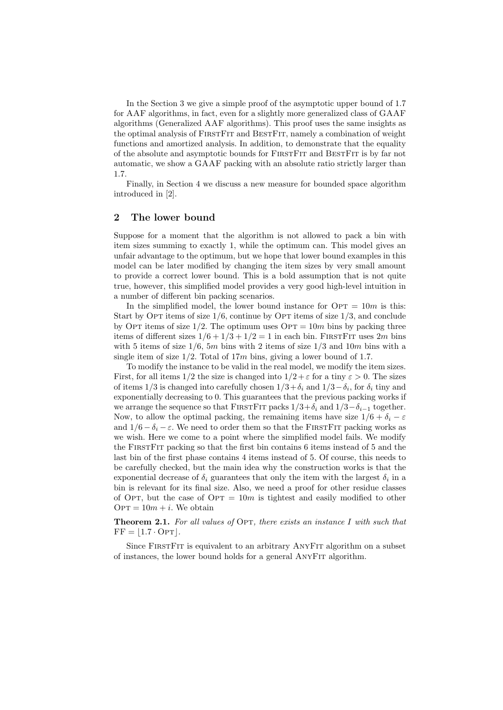In the Section 3 we give a simple proof of the asymptotic upper bound of 1.7 for AAF algorithms, in fact, even for a slightly more generalized class of GAAF algorithms (Generalized AAF algorithms). This proof uses the same insights as the optimal analysis of FIRSTFIT and BESTFIT, namely a combination of weight functions and amortized analysis. In addition, to demonstrate that the equality of the absolute and asymptotic bounds for FirstFit and BestFit is by far not automatic, we show a GAAF packing with an absolute ratio strictly larger than 1.7.

Finally, in Section 4 we discuss a new measure for bounded space algorithm introduced in [2].

# 2 The lower bound

Suppose for a moment that the algorithm is not allowed to pack a bin with item sizes summing to exactly 1, while the optimum can. This model gives an unfair advantage to the optimum, but we hope that lower bound examples in this model can be later modified by changing the item sizes by very small amount to provide a correct lower bound. This is a bold assumption that is not quite true, however, this simplified model provides a very good high-level intuition in a number of different bin packing scenarios.

In the simplified model, the lower bound instance for  $\text{OPT} = 10m$  is this: Start by OPT items of size  $1/6$ , continue by OPT items of size  $1/3$ , and conclude by OPT items of size  $1/2$ . The optimum uses OPT = 10m bins by packing three items of different sizes  $1/6 + 1/3 + 1/2 = 1$  in each bin. FIRSTFIT uses  $2m$  bins with 5 items of size  $1/6$ , 5m bins with 2 items of size  $1/3$  and 10m bins with a single item of size  $1/2$ . Total of 17m bins, giving a lower bound of 1.7.

To modify the instance to be valid in the real model, we modify the item sizes. First, for all items  $1/2$  the size is changed into  $1/2 + \varepsilon$  for a tiny  $\varepsilon > 0$ . The sizes of items 1/3 is changed into carefully chosen  $1/3 + \delta_i$  and  $1/3 - \delta_i$ , for  $\delta_i$  tiny and exponentially decreasing to 0. This guarantees that the previous packing works if we arrange the sequence so that FIRSTFIT packs  $1/3+\delta_i$  and  $1/3-\delta_{i-1}$  together. Now, to allow the optimal packing, the remaining items have size  $1/6 + \delta_i - \varepsilon$ and  $1/6 - \delta_i - \varepsilon$ . We need to order them so that the FIRSTFIT packing works as we wish. Here we come to a point where the simplified model fails. We modify the FirstFit packing so that the first bin contains 6 items instead of 5 and the last bin of the first phase contains 4 items instead of 5. Of course, this needs to be carefully checked, but the main idea why the construction works is that the exponential decrease of  $\delta_i$  guarantees that only the item with the largest  $\delta_i$  in a bin is relevant for its final size. Also, we need a proof for other residue classes of OPT, but the case of  $\text{OPT} = 10m$  is tightest and easily modified to other  $\text{OPT} = 10m + i$ . We obtain

**Theorem 2.1.** For all values of OPT, there exists an instance I with such that  $FF = 1.7 \cdot OPT$ .

Since FirstFit is equivalent to an arbitrary AnyFit algorithm on a subset of instances, the lower bound holds for a general AnyFit algorithm.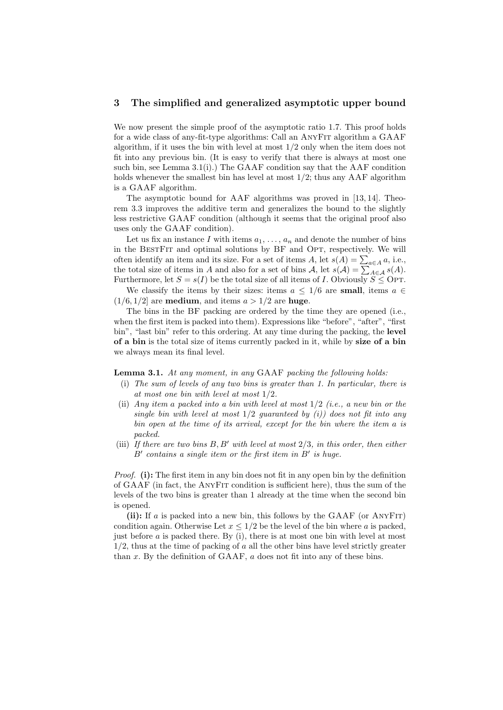### 3 The simplified and generalized asymptotic upper bound

We now present the simple proof of the asymptotic ratio 1.7. This proof holds for a wide class of any-fit-type algorithms: Call an AnyFit algorithm a GAAF algorithm, if it uses the bin with level at most  $1/2$  only when the item does not fit into any previous bin. (It is easy to verify that there is always at most one such bin, see Lemma  $3.1(i)$ .) The GAAF condition say that the AAF condition holds whenever the smallest bin has level at most 1/2; thus any AAF algorithm is a GAAF algorithm.

The asymptotic bound for AAF algorithms was proved in [13, 14]. Theorem 3.3 improves the additive term and generalizes the bound to the slightly less restrictive GAAF condition (although it seems that the original proof also uses only the GAAF condition).

Let us fix an instance I with items  $a_1, \ldots, a_n$  and denote the number of bins in the BESTFIT and optimal solutions by BF and OPT, respectively. We will often identify an item and its size. For a set of items  $A$ , let  $s(A) = \sum_{a \in A} a$ , i.e., the total size of items in A and also for a set of bins  $A$ , let  $s(A) = \sum_{A \in \mathcal{A}} s(A)$ . Furthermore, let  $S = s(I)$  be the total size of all items of I. Obviously  $S \leq \text{OPT}$ .

We classify the items by their sizes: items  $a \leq 1/6$  are small, items  $a \in$  $(1/6, 1/2]$  are **medium**, and items  $a > 1/2$  are **huge**.

The bins in the BF packing are ordered by the time they are opened (i.e., when the first item is packed into them). Expressions like "before", "after", "first bin", "last bin" refer to this ordering. At any time during the packing, the level of a bin is the total size of items currently packed in it, while by size of a bin we always mean its final level.

Lemma 3.1. At any moment, in any GAAF packing the following holds:

- (i) The sum of levels of any two bins is greater than 1. In particular, there is at most one bin with level at most 1/2.
- (ii) Any item a packed into a bin with level at most  $1/2$  (i.e., a new bin or the single bin with level at most  $1/2$  quaranteed by (i)) does not fit into any bin open at the time of its arrival, except for the bin where the item a is packed.
- (iii) If there are two bins  $B, B'$  with level at most  $2/3$ , in this order, then either  $B'$  contains a single item or the first item in  $B'$  is huge.

Proof. (i): The first item in any bin does not fit in any open bin by the definition of GAAF (in fact, the AnyFit condition is sufficient here), thus the sum of the levels of the two bins is greater than 1 already at the time when the second bin is opened.

(ii): If a is packed into a new bin, this follows by the GAAF (or ANYFIT) condition again. Otherwise Let  $x \leq 1/2$  be the level of the bin where a is packed, just before a is packed there. By (i), there is at most one bin with level at most  $1/2$ , thus at the time of packing of a all the other bins have level strictly greater than x. By the definition of GAAF,  $\alpha$  does not fit into any of these bins.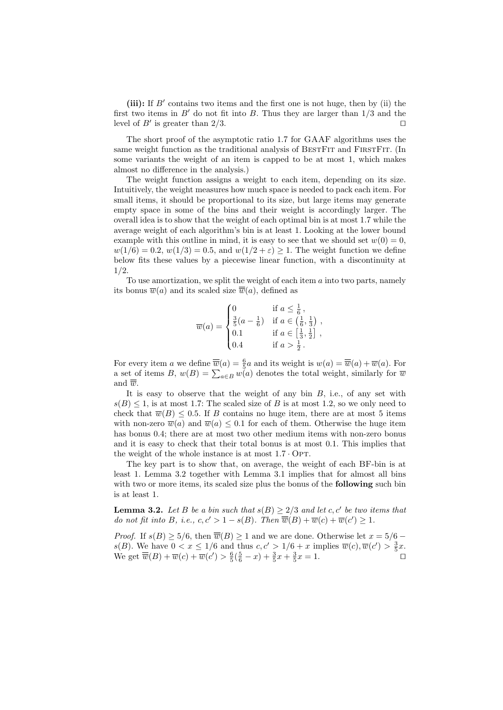(iii): If  $B'$  contains two items and the first one is not huge, then by (ii) the first two items in  $B'$  do not fit into B. Thus they are larger than  $1/3$  and the level of  $B'$  is greater than  $2/3$ .

The short proof of the asymptotic ratio 1.7 for GAAF algorithms uses the same weight function as the traditional analysis of BESTFIT and FIRSTFIT. (In some variants the weight of an item is capped to be at most 1, which makes almost no difference in the analysis.)

The weight function assigns a weight to each item, depending on its size. Intuitively, the weight measures how much space is needed to pack each item. For small items, it should be proportional to its size, but large items may generate empty space in some of the bins and their weight is accordingly larger. The overall idea is to show that the weight of each optimal bin is at most 1.7 while the average weight of each algorithm's bin is at least 1. Looking at the lower bound example with this outline in mind, it is easy to see that we should set  $w(0) = 0$ ,  $w(1/6) = 0.2, w(1/3) = 0.5, \text{ and } w(1/2 + \varepsilon) > 1.$  The weight function we define below fits these values by a piecewise linear function, with a discontinuity at 1/2.

To use amortization, we split the weight of each item  $a$  into two parts, namely its bonus  $\overline{w}(a)$  and its scaled size  $\overline{\overline{w}}(a)$ , defined as

$$
\overline{w}(a) = \begin{cases}\n0 & \text{if } a \leq \frac{1}{6}, \\
\frac{3}{5}(a - \frac{1}{6}) & \text{if } a \in (\frac{1}{6}, \frac{1}{3}) \\
0.1 & \text{if } a \in [\frac{1}{3}, \frac{1}{2}] \\
0.4 & \text{if } a > \frac{1}{2}.\n\end{cases}
$$

For every item a we define  $\overline{\overline{w}}(a) = \frac{6}{5}a$  and its weight is  $w(a) = \overline{\overline{w}}(a) + \overline{w}(a)$ . For a set of items B,  $w(B) = \sum_{a \in B} w(a)$  denotes the total weight, similarly for  $\overline{w}$ and  $\overline{\overline{w}}$ .

It is easy to observe that the weight of any bin  $B$ , i.e., of any set with  $s(B) \leq 1$ , is at most 1.7: The scaled size of B is at most 1.2, so we only need to check that  $\overline{w}(B) \leq 0.5$ . If B contains no huge item, there are at most 5 items with non-zero  $\overline{w}(a)$  and  $\overline{w}(a) \leq 0.1$  for each of them. Otherwise the huge item has bonus 0.4; there are at most two other medium items with non-zero bonus and it is easy to check that their total bonus is at most 0.1. This implies that the weight of the whole instance is at most  $1.7 \cdot OPT$ .

The key part is to show that, on average, the weight of each BF-bin is at least 1. Lemma 3.2 together with Lemma 3.1 implies that for almost all bins with two or more items, its scaled size plus the bonus of the **following** such bin is at least 1.

**Lemma 3.2.** Let B be a bin such that  $s(B) \geq 2/3$  and let c, c' be two items that do not fit into B, i.e.,  $c, c' > 1 - s(B)$ . Then  $\overline{\overline{w}}(B) + \overline{w}(c) + \overline{w}(c') \geq 1$ .

*Proof.* If  $s(B) \ge 5/6$ , then  $\overline{\overline{w}}(B) \ge 1$  and we are done. Otherwise let  $x = 5/6$  –  $s(B)$ . We have  $0 < x \leq 1/6$  and thus  $c, c' > 1/6 + x$  implies  $\overline{w}(c), \overline{w}(c') > \frac{3}{5}x$ . We get  $\overline{\overline{w}}(B) + \overline{w}(c) + \overline{w}(c') > \frac{6}{5}(\frac{5}{6} - x) + \frac{3}{5}x + \frac{3}{5}x = 1.$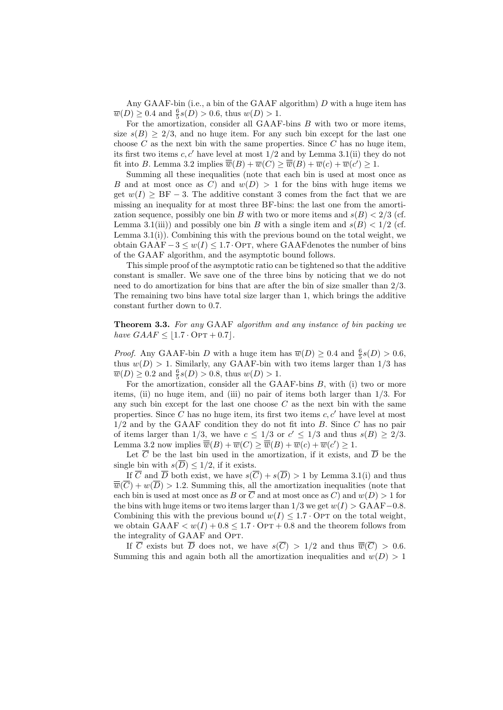Any GAAF-bin (i.e., a bin of the GAAF algorithm)  $D$  with a huge item has  $\overline{w}(D) \ge 0.4$  and  $\frac{6}{5}s(D) > 0.6$ , thus  $w(D) > 1$ .

For the amortization, consider all GAAF-bins B with two or more items, size  $s(B) \geq 2/3$ , and no huge item. For any such bin except for the last one choose C as the next bin with the same properties. Since C has no huge item, its first two items c, c' have level at most  $1/2$  and by Lemma 3.1(ii) they do not fit into B. Lemma 3.2 implies  $\overline{\overline{w}}(B) + \overline{w}(C) \ge \overline{\overline{w}}(B) + \overline{w}(c) + \overline{w}(c') \ge 1$ .

Summing all these inequalities (note that each bin is used at most once as B and at most once as C) and  $w(D) > 1$  for the bins with huge items we get  $w(I) \geq BF - 3$ . The additive constant 3 comes from the fact that we are missing an inequality for at most three BF-bins: the last one from the amortization sequence, possibly one bin B with two or more items and  $s(B) < 2/3$  (cf. Lemma 3.1(iii)) and possibly one bin B with a single item and  $s(B) < 1/2$  (cf. Lemma 3.1(i)). Combining this with the previous bound on the total weight, we obtain  $GAAF-3 \leq w(I) \leq 1.7$  Opt, where GAAF denotes the number of bins of the GAAF algorithm, and the asymptotic bound follows.

This simple proof of the asymptotic ratio can be tightened so that the additive constant is smaller. We save one of the three bins by noticing that we do not need to do amortization for bins that are after the bin of size smaller than 2/3. The remaining two bins have total size larger than 1, which brings the additive constant further down to 0.7.

Theorem 3.3. For any GAAF algorithm and any instance of bin packing we have  $GAAF \leq |1.7 \cdot \text{OPT} + 0.7|$ .

*Proof.* Any GAAF-bin D with a huge item has  $\overline{w}(D) \ge 0.4$  and  $\frac{6}{5}s(D) > 0.6$ , thus  $w(D) > 1$ . Similarly, any GAAF-bin with two items larger than 1/3 has  $\overline{w}(D) \ge 0.2$  and  $\frac{6}{5}s(D) > 0.8$ , thus  $w(D) > 1$ .

For the amortization, consider all the  $GAAF-bins B$ , with (i) two or more items, (ii) no huge item, and (iii) no pair of items both larger than  $1/3$ . For any such bin except for the last one choose  $C$  as the next bin with the same properties. Since C has no huge item, its first two items  $c, c'$  have level at most  $1/2$  and by the GAAF condition they do not fit into B. Since C has no pair of items larger than 1/3, we have  $c \leq 1/3$  or  $c' \leq 1/3$  and thus  $s(B) \geq 2/3$ . Lemma 3.2 now implies  $\overline{\overline{w}}(B) + \overline{w}(C) \ge \overline{\overline{w}}(B) + \overline{w}(c) + \overline{w}(c') \ge 1$ .

Let  $\overline{C}$  be the last bin used in the amortization, if it exists, and  $\overline{D}$  be the single bin with  $s(\overline{D}) \leq 1/2$ , if it exists.

If  $\overline{C}$  and  $\overline{D}$  both exist, we have  $s(\overline{C}) + s(\overline{D}) > 1$  by Lemma 3.1(i) and thus  $\overline{\overline{w}}(\overline{C}) + w(\overline{D}) > 1.2$ . Summing this, all the amortization inequalities (note that each bin is used at most once as B or  $\overline{C}$  and at most once as C) and  $w(D) > 1$  for the bins with huge items or two items larger than  $1/3$  we get  $w(I) > \text{GAAF}-0.8$ . Combining this with the previous bound  $w(I) \leq 1.7 \cdot \text{OPT}$  on the total weight, we obtain  $GAAF < w(I) + 0.8 \leq 1.7 \cdot OPT + 0.8$  and the theorem follows from the integrality of GAAF and OPT.

If  $\overline{C}$  exists but  $\overline{D}$  does not, we have  $s(\overline{C}) > 1/2$  and thus  $\overline{\overline{w}}(\overline{C}) > 0.6$ . Summing this and again both all the amortization inequalities and  $w(D) > 1$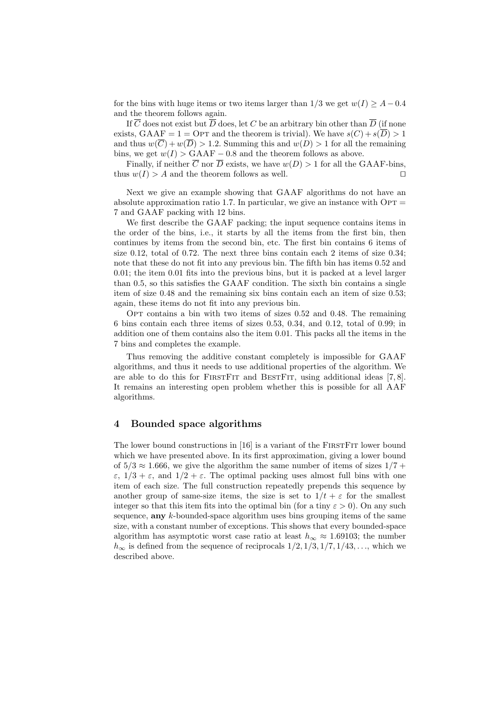for the bins with huge items or two items larger than  $1/3$  we get  $w(I) \geq A - 0.4$ and the theorem follows again.

If  $\overline{C}$  does not exist but  $\overline{D}$  does, let C be an arbitrary bin other than  $\overline{D}$  (if none exists, GAAF = 1 = OPT and the theorem is trivial). We have  $s(C) + s(\overline{D}) > 1$ and thus  $w(\overline{C}) + w(\overline{D}) > 1.2$ . Summing this and  $w(D) > 1$  for all the remaining bins, we get  $w(I) > \text{GAAF} - 0.8$  and the theorem follows as above.

Finally, if neither  $\overline{C}$  nor  $\overline{D}$  exists, we have  $w(D) > 1$  for all the GAAF-bins, thus  $w(I) > A$  and the theorem follows as well.

Next we give an example showing that GAAF algorithms do not have an absolute approximation ratio 1.7. In particular, we give an instance with  $\text{OPT} =$ 7 and GAAF packing with 12 bins.

We first describe the GAAF packing; the input sequence contains items in the order of the bins, i.e., it starts by all the items from the first bin, then continues by items from the second bin, etc. The first bin contains 6 items of size 0.12, total of 0.72. The next three bins contain each 2 items of size 0.34; note that these do not fit into any previous bin. The fifth bin has items 0.52 and 0.01; the item 0.01 fits into the previous bins, but it is packed at a level larger than 0.5, so this satisfies the GAAF condition. The sixth bin contains a single item of size 0.48 and the remaining six bins contain each an item of size 0.53; again, these items do not fit into any previous bin.

OPT contains a bin with two items of sizes  $0.52$  and  $0.48$ . The remaining 6 bins contain each three items of sizes 0.53, 0.34, and 0.12, total of 0.99; in addition one of them contains also the item 0.01. This packs all the items in the 7 bins and completes the example.

Thus removing the additive constant completely is impossible for GAAF algorithms, and thus it needs to use additional properties of the algorithm. We are able to do this for FIRSTFIT and BESTFIT, using additional ideas [7,8]. It remains an interesting open problem whether this is possible for all AAF algorithms.

# 4 Bounded space algorithms

The lower bound constructions in [16] is a variant of the FIRSTFIT lower bound which we have presented above. In its first approximation, giving a lower bound of  $5/3 \approx 1.666$ , we give the algorithm the same number of items of sizes  $1/7 +$  $\varepsilon$ ,  $1/3 + \varepsilon$ , and  $1/2 + \varepsilon$ . The optimal packing uses almost full bins with one item of each size. The full construction repeatedly prepends this sequence by another group of same-size items, the size is set to  $1/t + \varepsilon$  for the smallest integer so that this item fits into the optimal bin (for a tiny  $\varepsilon > 0$ ). On any such sequence, **any**  $k$ -bounded-space algorithm uses bins grouping items of the same size, with a constant number of exceptions. This shows that every bounded-space algorithm has asymptotic worst case ratio at least  $h_{\infty} \approx 1.69103$ ; the number  $h_{\infty}$  is defined from the sequence of reciprocals  $1/2$ ,  $1/3$ ,  $1/7$ ,  $1/43$ , ..., which we described above.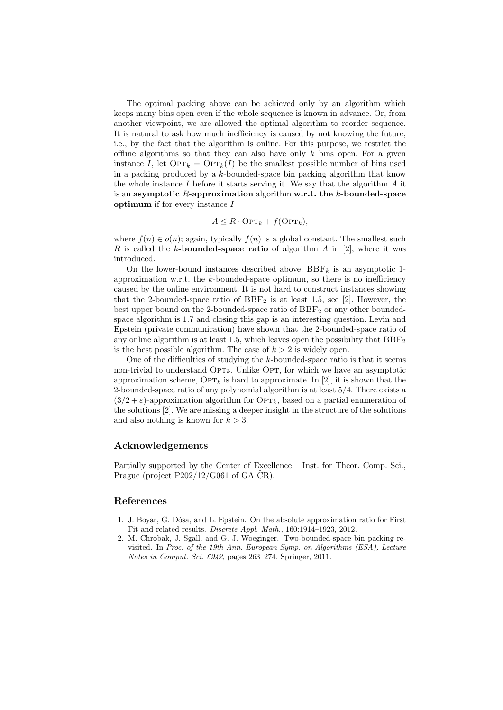The optimal packing above can be achieved only by an algorithm which keeps many bins open even if the whole sequence is known in advance. Or, from another viewpoint, we are allowed the optimal algorithm to reorder sequence. It is natural to ask how much inefficiency is caused by not knowing the future, i.e., by the fact that the algorithm is online. For this purpose, we restrict the offline algorithms so that they can also have only k bins open. For a given instance I, let  $\text{OPT}_k = \text{OPT}_k(I)$  be the smallest possible number of bins used in a packing produced by a  $k$ -bounded-space bin packing algorithm that know the whole instance  $I$  before it starts serving it. We say that the algorithm  $A$  it is an asymptotic R-approximation algorithm w.r.t. the  $k$ -bounded-space **optimum** if for every instance  $I$ 

$$
A \leq R \cdot \text{OPT}_k + f(\text{OPT}_k),
$$

where  $f(n) \in o(n)$ ; again, typically  $f(n)$  is a global constant. The smallest such R is called the k-bounded-space ratio of algorithm  $A$  in [2], where it was introduced.

On the lower-bound instances described above,  $BBF_k$  is an asymptotic 1approximation w.r.t. the  $k$ -bounded-space optimum, so there is no inefficiency caused by the online environment. It is not hard to construct instances showing that the 2-bounded-space ratio of  $BBF_2$  is at least 1.5, see [2]. However, the best upper bound on the 2-bounded-space ratio of  $BBF<sub>2</sub>$  or any other boundedspace algorithm is 1.7 and closing this gap is an interesting question. Levin and Epstein (private communication) have shown that the 2-bounded-space ratio of any online algorithm is at least 1.5, which leaves open the possibility that  $BBF<sub>2</sub>$ is the best possible algorithm. The case of  $k > 2$  is widely open.

One of the difficulties of studying the  $k$ -bounded-space ratio is that it seems non-trivial to understand  $\text{OPT}_k$ . Unlike Opt, for which we have an asymptotic approximation scheme,  $\text{OPT}_k$  is hard to approximate. In [2], it is shown that the 2-bounded-space ratio of any polynomial algorithm is at least 5/4. There exists a  $(3/2 + \varepsilon)$ -approximation algorithm for OPT<sub>k</sub>, based on a partial enumeration of the solutions [2]. We are missing a deeper insight in the structure of the solutions and also nothing is known for  $k > 3$ .

# Acknowledgements

Partially supported by the Center of Excellence – Inst. for Theor. Comp. Sci., Prague (project  $P202/12/G061$  of GA  $\check{C}R$ ).

## References

- 1. J. Boyar, G. D´osa, and L. Epstein. On the absolute approximation ratio for First Fit and related results. Discrete Appl. Math., 160:1914–1923, 2012.
- 2. M. Chrobak, J. Sgall, and G. J. Woeginger. Two-bounded-space bin packing revisited. In Proc. of the 19th Ann. European Symp. on Algorithms (ESA), Lecture Notes in Comput. Sci. 6942, pages 263–274. Springer, 2011.